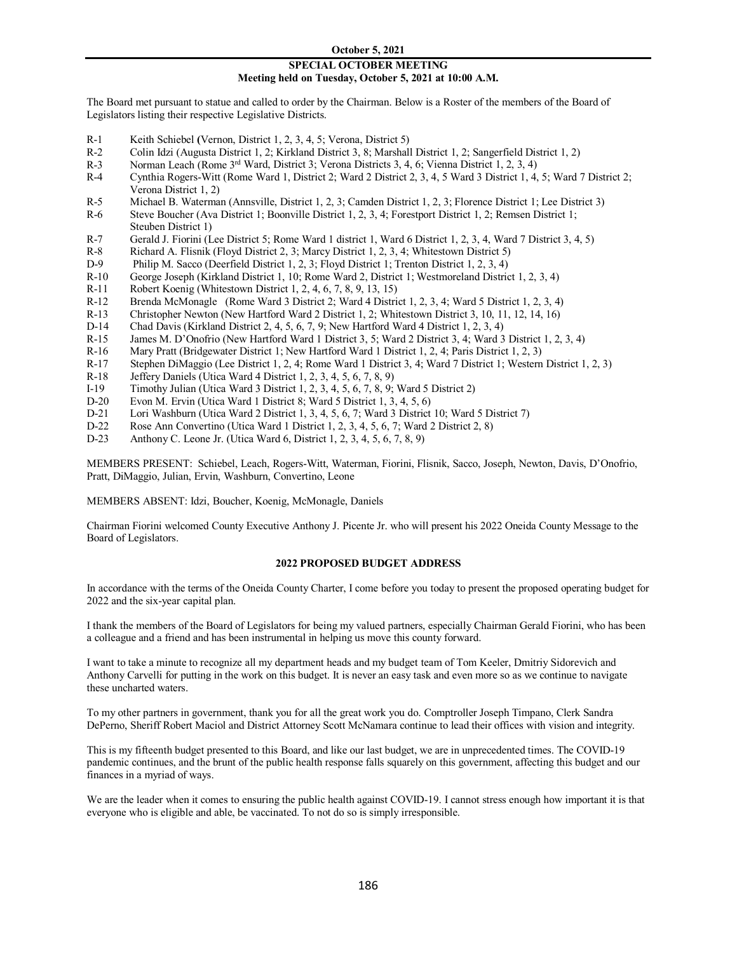### **SPECIAL OCTOBER MEETING Meeting held on Tuesday, October 5, 2021 at 10:00 A.M.**

The Board met pursuant to statue and called to order by the Chairman. Below is a Roster of the members of the Board of Legislators listing their respective Legislative Districts.

- R-1 Keith Schiebel **(**Vernon, District 1, 2, 3, 4, 5; Verona, District 5)
- R-2 Colin Idzi (Augusta District 1, 2; Kirkland District 3, 8; Marshall District 1, 2; Sangerfield District 1, 2)
- R-3 Norman Leach (Rome <sup>3rd</sup> Ward, District 3; Verona Districts 3, 4, 6; Vienna District 1, 2, 3, 4)<br>R-4 Cynthia Rogers-Witt (Rome Ward 1, District 2; Ward 2 District 2, 3, 4, 5 Ward 3 District 1, 4,
- Cynthia Rogers-Witt (Rome Ward 1, District 2; Ward 2 District 2, 3, 4, 5 Ward 3 District 1, 4, 5; Ward 7 District 2; Verona District 1, 2)
- R-5 Michael B. Waterman (Annsville, District 1, 2, 3; Camden District 1, 2, 3; Florence District 1; Lee District 3)
- R-6 Steve Boucher (Ava District 1; Boonville District 1, 2, 3, 4; Forestport District 1, 2; Remsen District 1; Steuben District 1)
- R-7 Gerald J. Fiorini (Lee District 5; Rome Ward 1 district 1, Ward 6 District 1, 2, 3, 4, Ward 7 District 3, 4, 5)
- R-8 Richard A. Flisnik (Floyd District 2, 3; Marcy District 1, 2, 3, 4; Whitestown District 5)<br>D-9 Philip M. Sacco (Deerfield District 1, 2, 3; Floyd District 1; Trenton District 1, 2, 3, 4)
- Philip M. Sacco (Deerfield District 1, 2, 3; Floyd District 1; Trenton District 1, 2, 3, 4)
- R-10 George Joseph (Kirkland District 1, 10; Rome Ward 2, District 1; Westmoreland District 1, 2, 3, 4)
- R-11 Robert Koenig (Whitestown District 1, 2, 4, 6, 7, 8, 9, 13, 15)
- R-12 Brenda McMonagle (Rome Ward 3 District 2; Ward 4 District 1, 2, 3, 4; Ward 5 District 1, 2, 3, 4)
- R-13 Christopher Newton (New Hartford Ward 2 District 1, 2; Whitestown District 3, 10, 11, 12, 14, 16)
- D-14 Chad Davis (Kirkland District 2, 4, 5, 6, 7, 9; New Hartford Ward 4 District 1, 2, 3, 4)
- R-15 James M. D'Onofrio (New Hartford Ward 1 District 3, 5; Ward 2 District 3, 4; Ward 3 District 1, 2, 3, 4)
- R-16 Mary Pratt (Bridgewater District 1; New Hartford Ward 1 District 1, 2, 4; Paris District 1, 2, 3)<br>R-17 Stephen DiMaggio (Lee District 1, 2, 4; Rome Ward 1 District 3, 4; Ward 7 District 1; Western
- Stephen DiMaggio (Lee District 1, 2, 4; Rome Ward 1 District 3, 4; Ward 7 District 1; Western District 1, 2, 3)
- R-18 Jeffery Daniels (Utica Ward 4 District 1, 2, 3, 4, 5, 6, 7, 8, 9)
- I-19 Timothy Julian (Utica Ward 3 District 1, 2, 3, 4, 5, 6, 7, 8, 9; Ward 5 District 2)
- D-20 Evon M. Ervin (Utica Ward 1 District 8; Ward 5 District 1, 3, 4, 5, 6)
- D-21 Lori Washburn (Utica Ward 2 District 1, 3, 4, 5, 6, 7; Ward 3 District 10; Ward 5 District 7)<br>D-22 Rose Ann Convertino (Utica Ward 1 District 1, 2, 3, 4, 5, 6, 7; Ward 2 District 2, 8)
- D-22 **Rose Ann Convertino (Utica Ward 1 District 1, 2, 3, 4, 5, 6, 7; Ward 2 District 2, 8)**<br>D-23 **Anthony C. Leone Jr. (Utica Ward 6, District 1, 2, 3, 4, 5, 6, 7, 8, 9)**
- Anthony C. Leone Jr. (Utica Ward 6, District 1, 2, 3, 4, 5, 6, 7, 8, 9)

MEMBERS PRESENT: Schiebel, Leach, Rogers-Witt, Waterman, Fiorini, Flisnik, Sacco, Joseph, Newton, Davis, D'Onofrio, Pratt, DiMaggio, Julian, Ervin, Washburn, Convertino, Leone

MEMBERS ABSENT: Idzi, Boucher, Koenig, McMonagle, Daniels

Chairman Fiorini welcomed County Executive Anthony J. Picente Jr. who will present his 2022 Oneida County Message to the Board of Legislators.

## **2022 PROPOSED BUDGET ADDRESS**

In accordance with the terms of the Oneida County Charter, I come before you today to present the proposed operating budget for 2022 and the six-year capital plan.

I thank the members of the Board of Legislators for being my valued partners, especially Chairman Gerald Fiorini, who has been a colleague and a friend and has been instrumental in helping us move this county forward.

I want to take a minute to recognize all my department heads and my budget team of Tom Keeler, Dmitriy Sidorevich and Anthony Carvelli for putting in the work on this budget. It is never an easy task and even more so as we continue to navigate these uncharted waters.

To my other partners in government, thank you for all the great work you do. Comptroller Joseph Timpano, Clerk Sandra DePerno, Sheriff Robert Maciol and District Attorney Scott McNamara continue to lead their offices with vision and integrity.

This is my fifteenth budget presented to this Board, and like our last budget, we are in unprecedented times. The COVID-19 pandemic continues, and the brunt of the public health response falls squarely on this government, affecting this budget and our finances in a myriad of ways.

We are the leader when it comes to ensuring the public health against COVID-19. I cannot stress enough how important it is that everyone who is eligible and able, be vaccinated. To not do so is simply irresponsible.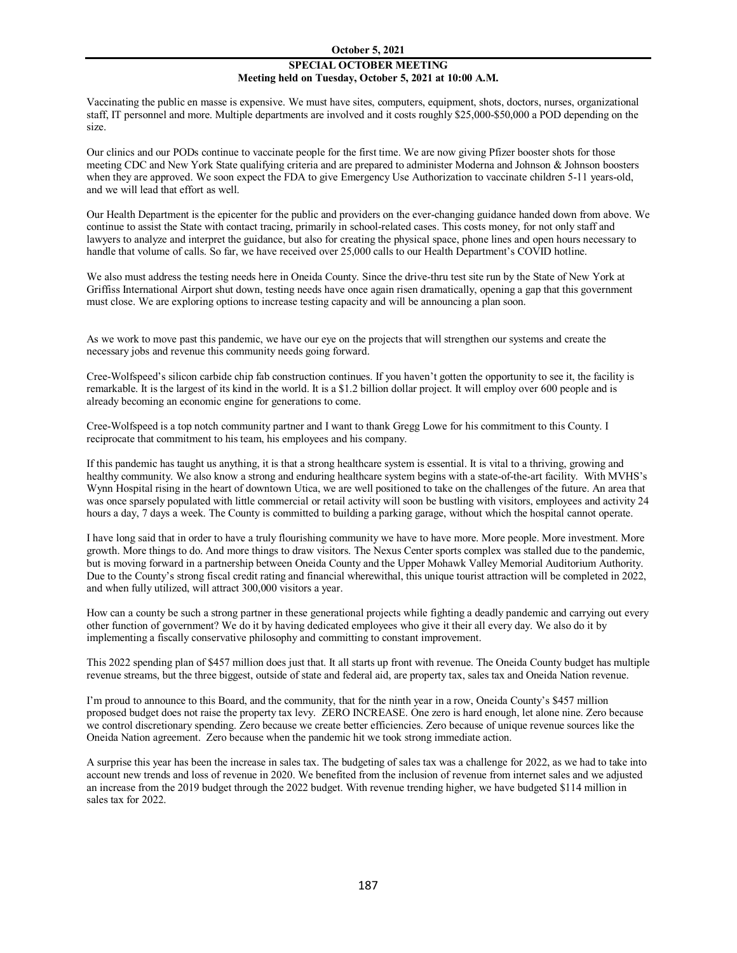# **SPECIAL OCTOBER MEETING Meeting held on Tuesday, October 5, 2021 at 10:00 A.M.**

Vaccinating the public en masse is expensive. We must have sites, computers, equipment, shots, doctors, nurses, organizational staff, IT personnel and more. Multiple departments are involved and it costs roughly \$25,000-\$50,000 a POD depending on the size.

Our clinics and our PODs continue to vaccinate people for the first time. We are now giving Pfizer booster shots for those meeting CDC and New York State qualifying criteria and are prepared to administer Moderna and Johnson & Johnson boosters when they are approved. We soon expect the FDA to give Emergency Use Authorization to vaccinate children 5-11 years-old, and we will lead that effort as well.

Our Health Department is the epicenter for the public and providers on the ever-changing guidance handed down from above. We continue to assist the State with contact tracing, primarily in school-related cases. This costs money, for not only staff and lawyers to analyze and interpret the guidance, but also for creating the physical space, phone lines and open hours necessary to handle that volume of calls. So far, we have received over 25,000 calls to our Health Department's COVID hotline.

We also must address the testing needs here in Oneida County. Since the drive-thru test site run by the State of New York at Griffiss International Airport shut down, testing needs have once again risen dramatically, opening a gap that this government must close. We are exploring options to increase testing capacity and will be announcing a plan soon.

As we work to move past this pandemic, we have our eye on the projects that will strengthen our systems and create the necessary jobs and revenue this community needs going forward.

Cree-Wolfspeed's silicon carbide chip fab construction continues. If you haven't gotten the opportunity to see it, the facility is remarkable. It is the largest of its kind in the world. It is a \$1.2 billion dollar project. It will employ over 600 people and is already becoming an economic engine for generations to come.

Cree-Wolfspeed is a top notch community partner and I want to thank Gregg Lowe for his commitment to this County. I reciprocate that commitment to his team, his employees and his company.

If this pandemic has taught us anything, it is that a strong healthcare system is essential. It is vital to a thriving, growing and healthy community. We also know a strong and enduring healthcare system begins with a state-of-the-art facility. With MVHS's Wynn Hospital rising in the heart of downtown Utica, we are well positioned to take on the challenges of the future. An area that was once sparsely populated with little commercial or retail activity will soon be bustling with visitors, employees and activity 24 hours a day, 7 days a week. The County is committed to building a parking garage, without which the hospital cannot operate.

I have long said that in order to have a truly flourishing community we have to have more. More people. More investment. More growth. More things to do. And more things to draw visitors. The Nexus Center sports complex was stalled due to the pandemic, but is moving forward in a partnership between Oneida County and the Upper Mohawk Valley Memorial Auditorium Authority. Due to the County's strong fiscal credit rating and financial wherewithal, this unique tourist attraction will be completed in 2022, and when fully utilized, will attract 300,000 visitors a year.

How can a county be such a strong partner in these generational projects while fighting a deadly pandemic and carrying out every other function of government? We do it by having dedicated employees who give it their all every day. We also do it by implementing a fiscally conservative philosophy and committing to constant improvement.

This 2022 spending plan of \$457 million does just that. It all starts up front with revenue. The Oneida County budget has multiple revenue streams, but the three biggest, outside of state and federal aid, are property tax, sales tax and Oneida Nation revenue.

I'm proud to announce to this Board, and the community, that for the ninth year in a row, Oneida County's \$457 million proposed budget does not raise the property tax levy. ZERO INCREASE. One zero is hard enough, let alone nine. Zero because we control discretionary spending. Zero because we create better efficiencies. Zero because of unique revenue sources like the Oneida Nation agreement. Zero because when the pandemic hit we took strong immediate action.

A surprise this year has been the increase in sales tax. The budgeting of sales tax was a challenge for 2022, as we had to take into account new trends and loss of revenue in 2020. We benefited from the inclusion of revenue from internet sales and we adjusted an increase from the 2019 budget through the 2022 budget. With revenue trending higher, we have budgeted \$114 million in sales tax for 2022.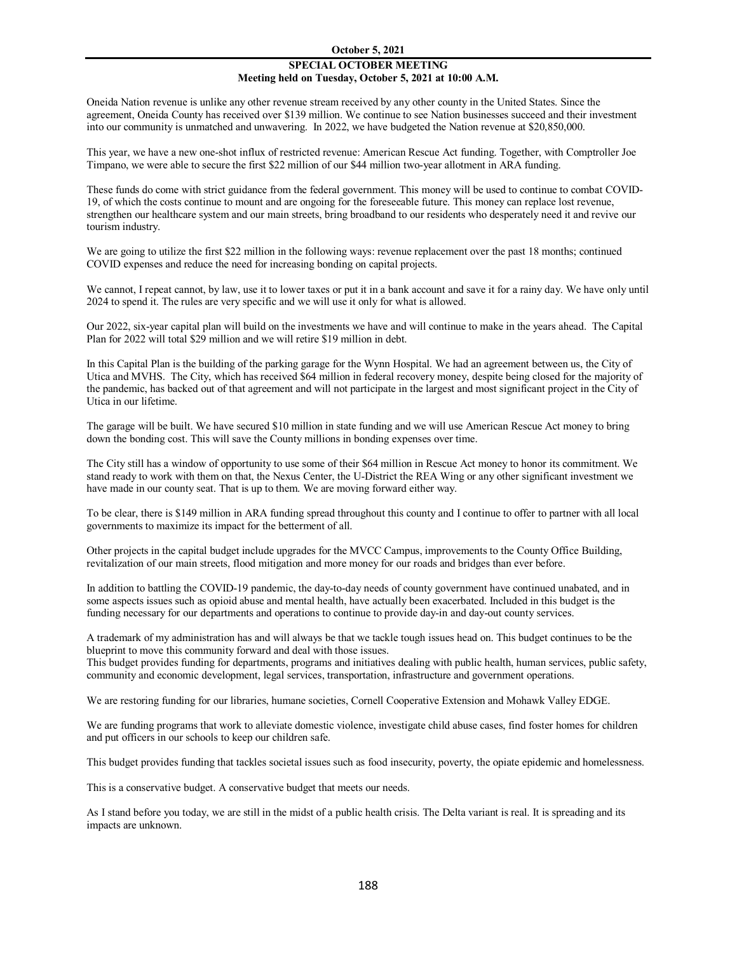## **SPECIAL OCTOBER MEETING Meeting held on Tuesday, October 5, 2021 at 10:00 A.M.**

Oneida Nation revenue is unlike any other revenue stream received by any other county in the United States. Since the agreement, Oneida County has received over \$139 million. We continue to see Nation businesses succeed and their investment into our community is unmatched and unwavering. In 2022, we have budgeted the Nation revenue at \$20,850,000.

This year, we have a new one-shot influx of restricted revenue: American Rescue Act funding. Together, with Comptroller Joe Timpano, we were able to secure the first \$22 million of our \$44 million two-year allotment in ARA funding.

These funds do come with strict guidance from the federal government. This money will be used to continue to combat COVID-19, of which the costs continue to mount and are ongoing for the foreseeable future. This money can replace lost revenue, strengthen our healthcare system and our main streets, bring broadband to our residents who desperately need it and revive our tourism industry.

We are going to utilize the first \$22 million in the following ways: revenue replacement over the past 18 months; continued COVID expenses and reduce the need for increasing bonding on capital projects.

We cannot, I repeat cannot, by law, use it to lower taxes or put it in a bank account and save it for a rainy day. We have only until 2024 to spend it. The rules are very specific and we will use it only for what is allowed.

Our 2022, six-year capital plan will build on the investments we have and will continue to make in the years ahead. The Capital Plan for 2022 will total \$29 million and we will retire \$19 million in debt.

In this Capital Plan is the building of the parking garage for the Wynn Hospital. We had an agreement between us, the City of Utica and MVHS. The City, which has received \$64 million in federal recovery money, despite being closed for the majority of the pandemic, has backed out of that agreement and will not participate in the largest and most significant project in the City of Utica in our lifetime.

The garage will be built. We have secured \$10 million in state funding and we will use American Rescue Act money to bring down the bonding cost. This will save the County millions in bonding expenses over time.

The City still has a window of opportunity to use some of their \$64 million in Rescue Act money to honor its commitment. We stand ready to work with them on that, the Nexus Center, the U-District the REA Wing or any other significant investment we have made in our county seat. That is up to them. We are moving forward either way.

To be clear, there is \$149 million in ARA funding spread throughout this county and I continue to offer to partner with all local governments to maximize its impact for the betterment of all.

Other projects in the capital budget include upgrades for the MVCC Campus, improvements to the County Office Building, revitalization of our main streets, flood mitigation and more money for our roads and bridges than ever before.

In addition to battling the COVID-19 pandemic, the day-to-day needs of county government have continued unabated, and in some aspects issues such as opioid abuse and mental health, have actually been exacerbated. Included in this budget is the funding necessary for our departments and operations to continue to provide day-in and day-out county services.

A trademark of my administration has and will always be that we tackle tough issues head on. This budget continues to be the blueprint to move this community forward and deal with those issues.

This budget provides funding for departments, programs and initiatives dealing with public health, human services, public safety, community and economic development, legal services, transportation, infrastructure and government operations.

We are restoring funding for our libraries, humane societies, Cornell Cooperative Extension and Mohawk Valley EDGE.

We are funding programs that work to alleviate domestic violence, investigate child abuse cases, find foster homes for children and put officers in our schools to keep our children safe.

This budget provides funding that tackles societal issues such as food insecurity, poverty, the opiate epidemic and homelessness.

This is a conservative budget. A conservative budget that meets our needs.

As I stand before you today, we are still in the midst of a public health crisis. The Delta variant is real. It is spreading and its impacts are unknown.